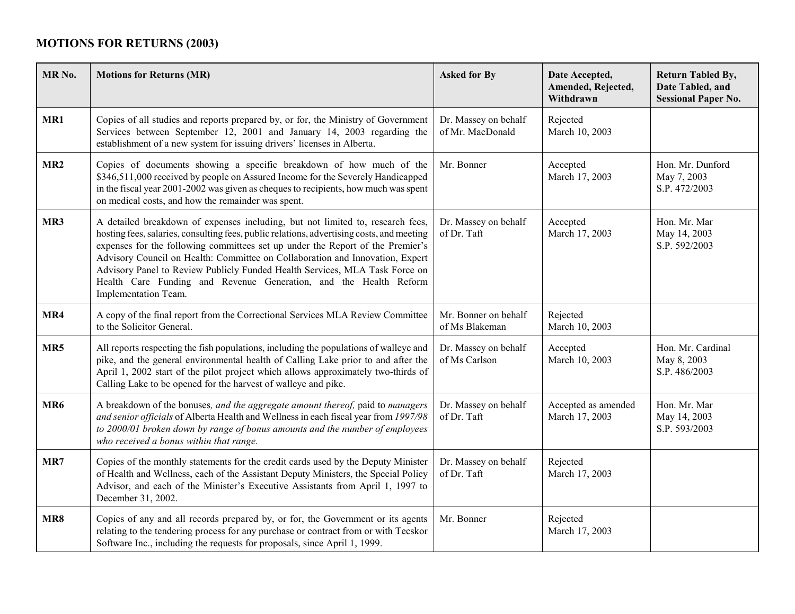## **MOTIONS FOR RETURNS (2003)**

| MR <sub>No.</sub> | <b>Motions for Returns (MR)</b>                                                                                                                                                                                                                                                                                                                                                                                                                                                                                            | <b>Asked for By</b>                      | Date Accepted,<br>Amended, Rejected,<br>Withdrawn | <b>Return Tabled By,</b><br>Date Tabled, and<br><b>Sessional Paper No.</b> |
|-------------------|----------------------------------------------------------------------------------------------------------------------------------------------------------------------------------------------------------------------------------------------------------------------------------------------------------------------------------------------------------------------------------------------------------------------------------------------------------------------------------------------------------------------------|------------------------------------------|---------------------------------------------------|----------------------------------------------------------------------------|
| MR1               | Copies of all studies and reports prepared by, or for, the Ministry of Government<br>Services between September 12, 2001 and January 14, 2003 regarding the<br>establishment of a new system for issuing drivers' licenses in Alberta.                                                                                                                                                                                                                                                                                     | Dr. Massey on behalf<br>of Mr. MacDonald | Rejected<br>March 10, 2003                        |                                                                            |
| MR <sub>2</sub>   | Copies of documents showing a specific breakdown of how much of the<br>\$346,511,000 received by people on Assured Income for the Severely Handicapped<br>in the fiscal year 2001-2002 was given as cheques to recipients, how much was spent<br>on medical costs, and how the remainder was spent.                                                                                                                                                                                                                        | Mr. Bonner                               | Accepted<br>March 17, 2003                        | Hon. Mr. Dunford<br>May 7, 2003<br>S.P. 472/2003                           |
| MR3               | A detailed breakdown of expenses including, but not limited to, research fees,<br>hosting fees, salaries, consulting fees, public relations, advertising costs, and meeting<br>expenses for the following committees set up under the Report of the Premier's<br>Advisory Council on Health: Committee on Collaboration and Innovation, Expert<br>Advisory Panel to Review Publicly Funded Health Services, MLA Task Force on<br>Health Care Funding and Revenue Generation, and the Health Reform<br>Implementation Team. | Dr. Massey on behalf<br>of Dr. Taft      | Accepted<br>March 17, 2003                        | Hon. Mr. Mar<br>May 14, 2003<br>S.P. 592/2003                              |
| MR4               | A copy of the final report from the Correctional Services MLA Review Committee<br>to the Solicitor General.                                                                                                                                                                                                                                                                                                                                                                                                                | Mr. Bonner on behalf<br>of Ms Blakeman   | Rejected<br>March 10, 2003                        |                                                                            |
| MR5               | All reports respecting the fish populations, including the populations of walleye and<br>pike, and the general environmental health of Calling Lake prior to and after the<br>April 1, 2002 start of the pilot project which allows approximately two-thirds of<br>Calling Lake to be opened for the harvest of walleye and pike.                                                                                                                                                                                          | Dr. Massey on behalf<br>of Ms Carlson    | Accepted<br>March 10, 2003                        | Hon. Mr. Cardinal<br>May 8, 2003<br>S.P. 486/2003                          |
| MR <sub>6</sub>   | A breakdown of the bonuses, and the aggregate amount thereof, paid to managers<br>and senior officials of Alberta Health and Wellness in each fiscal year from 1997/98<br>to 2000/01 broken down by range of bonus amounts and the number of employees<br>who received a bonus within that range.                                                                                                                                                                                                                          | Dr. Massey on behalf<br>of Dr. Taft      | Accepted as amended<br>March 17, 2003             | Hon. Mr. Mar<br>May 14, 2003<br>S.P. 593/2003                              |
| MR7               | Copies of the monthly statements for the credit cards used by the Deputy Minister<br>of Health and Wellness, each of the Assistant Deputy Ministers, the Special Policy<br>Advisor, and each of the Minister's Executive Assistants from April 1, 1997 to<br>December 31, 2002.                                                                                                                                                                                                                                            | Dr. Massey on behalf<br>of Dr. Taft      | Rejected<br>March 17, 2003                        |                                                                            |
| MR8               | Copies of any and all records prepared by, or for, the Government or its agents<br>relating to the tendering process for any purchase or contract from or with Tecskor<br>Software Inc., including the requests for proposals, since April 1, 1999.                                                                                                                                                                                                                                                                        | Mr. Bonner                               | Rejected<br>March 17, 2003                        |                                                                            |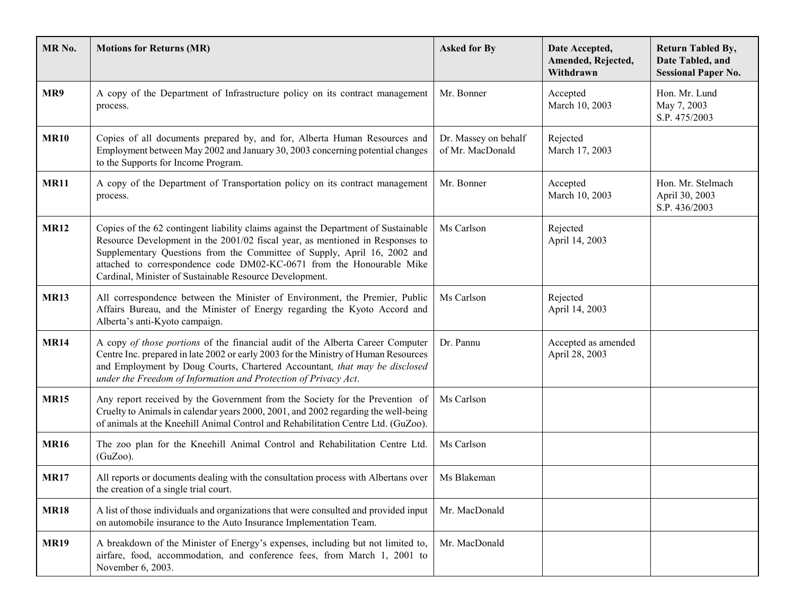| MR <sub>No.</sub> | <b>Motions for Returns (MR)</b>                                                                                                                                                                                                                                                                                                                                                     | <b>Asked for By</b>                      | Date Accepted,<br>Amended, Rejected,<br>Withdrawn | <b>Return Tabled By,</b><br>Date Tabled, and<br><b>Sessional Paper No.</b> |
|-------------------|-------------------------------------------------------------------------------------------------------------------------------------------------------------------------------------------------------------------------------------------------------------------------------------------------------------------------------------------------------------------------------------|------------------------------------------|---------------------------------------------------|----------------------------------------------------------------------------|
| MR9               | A copy of the Department of Infrastructure policy on its contract management<br>process.                                                                                                                                                                                                                                                                                            | Mr. Bonner                               | Accepted<br>March 10, 2003                        | Hon. Mr. Lund<br>May 7, 2003<br>S.P. 475/2003                              |
| <b>MR10</b>       | Copies of all documents prepared by, and for, Alberta Human Resources and<br>Employment between May 2002 and January 30, 2003 concerning potential changes<br>to the Supports for Income Program.                                                                                                                                                                                   | Dr. Massey on behalf<br>of Mr. MacDonald | Rejected<br>March 17, 2003                        |                                                                            |
| <b>MR11</b>       | A copy of the Department of Transportation policy on its contract management<br>process.                                                                                                                                                                                                                                                                                            | Mr. Bonner                               | Accepted<br>March 10, 2003                        | Hon. Mr. Stelmach<br>April 30, 2003<br>S.P. 436/2003                       |
| <b>MR12</b>       | Copies of the 62 contingent liability claims against the Department of Sustainable<br>Resource Development in the 2001/02 fiscal year, as mentioned in Responses to<br>Supplementary Questions from the Committee of Supply, April 16, 2002 and<br>attached to correspondence code DM02-KC-0671 from the Honourable Mike<br>Cardinal, Minister of Sustainable Resource Development. | Ms Carlson                               | Rejected<br>April 14, 2003                        |                                                                            |
| <b>MR13</b>       | All correspondence between the Minister of Environment, the Premier, Public<br>Affairs Bureau, and the Minister of Energy regarding the Kyoto Accord and<br>Alberta's anti-Kyoto campaign.                                                                                                                                                                                          | Ms Carlson                               | Rejected<br>April 14, 2003                        |                                                                            |
| <b>MR14</b>       | A copy of those portions of the financial audit of the Alberta Career Computer<br>Centre Inc. prepared in late 2002 or early 2003 for the Ministry of Human Resources<br>and Employment by Doug Courts, Chartered Accountant, that may be disclosed<br>under the Freedom of Information and Protection of Privacy Act.                                                              | Dr. Pannu                                | Accepted as amended<br>April 28, 2003             |                                                                            |
| <b>MR15</b>       | Any report received by the Government from the Society for the Prevention of<br>Cruelty to Animals in calendar years 2000, 2001, and 2002 regarding the well-being<br>of animals at the Kneehill Animal Control and Rehabilitation Centre Ltd. (GuZoo).                                                                                                                             | Ms Carlson                               |                                                   |                                                                            |
| <b>MR16</b>       | The zoo plan for the Kneehill Animal Control and Rehabilitation Centre Ltd.<br>$(GuZoo)$ .                                                                                                                                                                                                                                                                                          | Ms Carlson                               |                                                   |                                                                            |
| <b>MR17</b>       | All reports or documents dealing with the consultation process with Albertans over<br>the creation of a single trial court.                                                                                                                                                                                                                                                         | Ms Blakeman                              |                                                   |                                                                            |
| <b>MR18</b>       | A list of those individuals and organizations that were consulted and provided input<br>on automobile insurance to the Auto Insurance Implementation Team.                                                                                                                                                                                                                          | Mr. MacDonald                            |                                                   |                                                                            |
| <b>MR19</b>       | A breakdown of the Minister of Energy's expenses, including but not limited to,<br>airfare, food, accommodation, and conference fees, from March 1, 2001 to<br>November 6, 2003.                                                                                                                                                                                                    | Mr. MacDonald                            |                                                   |                                                                            |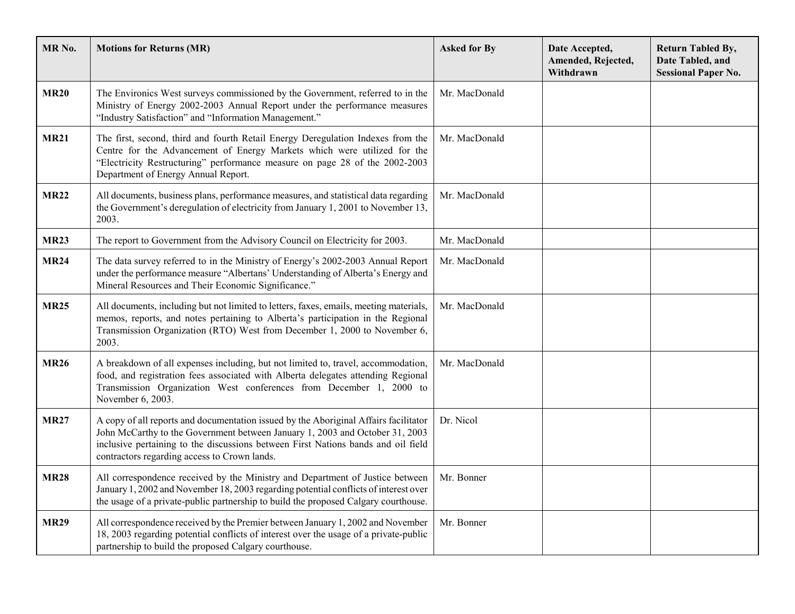| MR <sub>No.</sub> | <b>Motions for Returns (MR)</b>                                                                                                                                                                                                                                                                           | <b>Asked for By</b> | Date Accepted,<br>Amended, Rejected,<br>Withdrawn | <b>Return Tabled By,</b><br>Date Tabled, and<br><b>Sessional Paper No.</b> |
|-------------------|-----------------------------------------------------------------------------------------------------------------------------------------------------------------------------------------------------------------------------------------------------------------------------------------------------------|---------------------|---------------------------------------------------|----------------------------------------------------------------------------|
| <b>MR20</b>       | The Environics West surveys commissioned by the Government, referred to in the<br>Ministry of Energy 2002-2003 Annual Report under the performance measures<br>"Industry Satisfaction" and "Information Management."                                                                                      | Mr. MacDonald       |                                                   |                                                                            |
| <b>MR21</b>       | The first, second, third and fourth Retail Energy Deregulation Indexes from the<br>Centre for the Advancement of Energy Markets which were utilized for the<br>"Electricity Restructuring" performance measure on page 28 of the 2002-2003<br>Department of Energy Annual Report.                         | Mr. MacDonald       |                                                   |                                                                            |
| <b>MR22</b>       | All documents, business plans, performance measures, and statistical data regarding<br>the Government's deregulation of electricity from January 1, 2001 to November 13,<br>2003.                                                                                                                         | Mr. MacDonald       |                                                   |                                                                            |
| <b>MR23</b>       | The report to Government from the Advisory Council on Electricity for 2003.                                                                                                                                                                                                                               | Mr. MacDonald       |                                                   |                                                                            |
| <b>MR24</b>       | The data survey referred to in the Ministry of Energy's 2002-2003 Annual Report<br>under the performance measure "Albertans' Understanding of Alberta's Energy and<br>Mineral Resources and Their Economic Significance."                                                                                 | Mr. MacDonald       |                                                   |                                                                            |
| <b>MR25</b>       | All documents, including but not limited to letters, faxes, emails, meeting materials,<br>memos, reports, and notes pertaining to Alberta's participation in the Regional<br>Transmission Organization (RTO) West from December 1, 2000 to November 6,<br>2003.                                           | Mr. MacDonald       |                                                   |                                                                            |
| <b>MR26</b>       | A breakdown of all expenses including, but not limited to, travel, accommodation,<br>food, and registration fees associated with Alberta delegates attending Regional<br>Transmission Organization West conferences from December 1, 2000 to<br>November 6, 2003.                                         | Mr. MacDonald       |                                                   |                                                                            |
| <b>MR27</b>       | A copy of all reports and documentation issued by the Aboriginal Affairs facilitator<br>John McCarthy to the Government between January 1, 2003 and October 31, 2003<br>inclusive pertaining to the discussions between First Nations bands and oil field<br>contractors regarding access to Crown lands. | Dr. Nicol           |                                                   |                                                                            |
| <b>MR28</b>       | All correspondence received by the Ministry and Department of Justice between<br>January 1, 2002 and November 18, 2003 regarding potential conflicts of interest over<br>the usage of a private-public partnership to build the proposed Calgary courthouse.                                              | Mr. Bonner          |                                                   |                                                                            |
| <b>MR29</b>       | All correspondence received by the Premier between January 1, 2002 and November<br>18, 2003 regarding potential conflicts of interest over the usage of a private-public<br>partnership to build the proposed Calgary courthouse.                                                                         | Mr. Bonner          |                                                   |                                                                            |